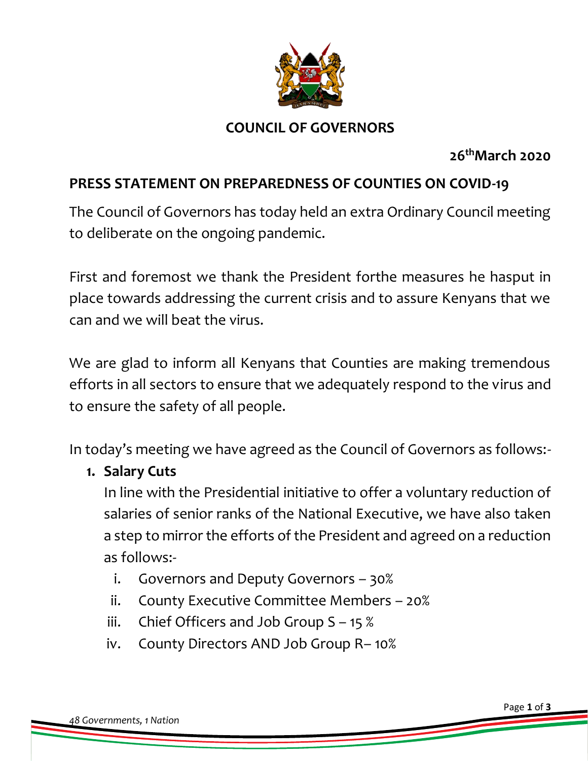

## **COUNCIL OF GOVERNORS**

### **26thMarch 2020**

## **PRESS STATEMENT ON PREPAREDNESS OF COUNTIES ON COVID-19**

The Council of Governors has today held an extra Ordinary Council meeting to deliberate on the ongoing pandemic.

First and foremost we thank the President forthe measures he hasput in place towards addressing the current crisis and to assure Kenyans that we can and we will beat the virus.

We are glad to inform all Kenyans that Counties are making tremendous efforts in all sectors to ensure that we adequately respond to the virus and to ensure the safety of all people.

In today's meeting we have agreed as the Council of Governors as follows:-

#### **1. Salary Cuts**

In line with the Presidential initiative to offer a voluntary reduction of salaries of senior ranks of the National Executive, we have also taken a step to mirror the efforts of the President and agreed on a reduction as follows:-

- i. Governors and Deputy Governors 30%
- ii. County Executive Committee Members 20%
- iii. Chief Officers and Job Group  $S 15$  %
- iv. County Directors AND Job Group R– 10%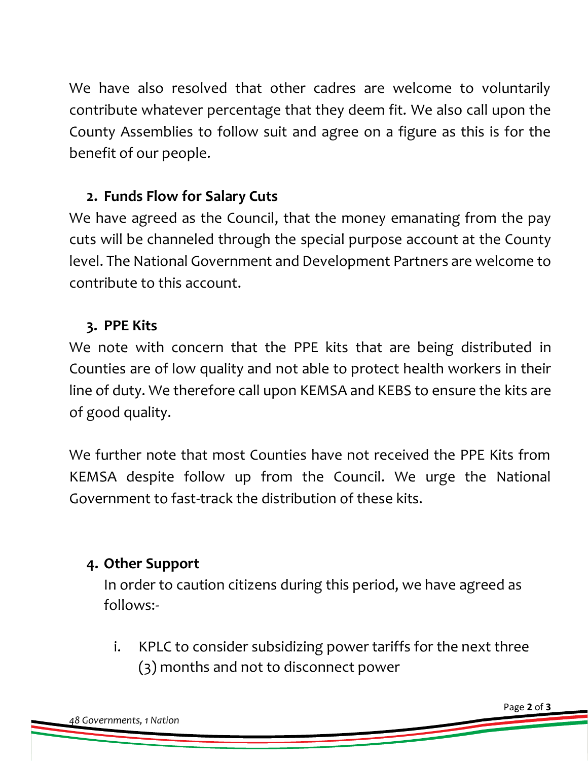We have also resolved that other cadres are welcome to voluntarily contribute whatever percentage that they deem fit. We also call upon the County Assemblies to follow suit and agree on a figure as this is for the benefit of our people.

# **2. Funds Flow for Salary Cuts**

We have agreed as the Council, that the money emanating from the pay cuts will be channeled through the special purpose account at the County level. The National Government and Development Partners are welcome to contribute to this account.

## **3. PPE Kits**

We note with concern that the PPE kits that are being distributed in Counties are of low quality and not able to protect health workers in their line of duty. We therefore call upon KEMSA and KEBS to ensure the kits are of good quality.

We further note that most Counties have not received the PPE Kits from KEMSA despite follow up from the Council. We urge the National Government to fast-track the distribution of these kits.

## **4. Other Support**

In order to caution citizens during this period, we have agreed as follows:-

i. KPLC to consider subsidizing power tariffs for the next three (3) months and not to disconnect power